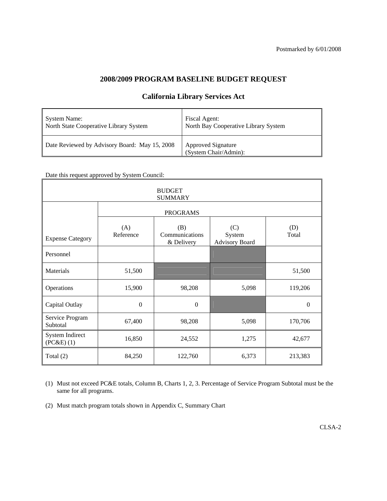# **2008/2009 PROGRAM BASELINE BUDGET REQUEST**

| System Name:                                  | Fiscal Agent:                                      |
|-----------------------------------------------|----------------------------------------------------|
| North State Cooperative Library System        | North Bay Cooperative Library System               |
| Date Reviewed by Advisory Board: May 15, 2008 | <b>Approved Signature</b><br>(System Chair/Admin): |

# **California Library Services Act**

Date this request approved by System Council:

| <b>BUDGET</b><br><b>SUMMARY</b>   |                  |                                     |                                        |              |  |  |  |  |  |  |  |
|-----------------------------------|------------------|-------------------------------------|----------------------------------------|--------------|--|--|--|--|--|--|--|
|                                   |                  | <b>PROGRAMS</b>                     |                                        |              |  |  |  |  |  |  |  |
| <b>Expense Category</b>           | (A)<br>Reference | (B)<br>Communications<br>& Delivery | (C)<br>System<br><b>Advisory Board</b> | (D)<br>Total |  |  |  |  |  |  |  |
| Personnel                         |                  |                                     |                                        |              |  |  |  |  |  |  |  |
| Materials                         | 51,500           |                                     |                                        | 51,500       |  |  |  |  |  |  |  |
| Operations                        | 15,900           | 98,208                              | 5,098                                  | 119,206      |  |  |  |  |  |  |  |
| Capital Outlay                    | $\Omega$         | $\Omega$                            |                                        | $\theta$     |  |  |  |  |  |  |  |
| Service Program<br>Subtotal       | 67,400           | 98,208                              | 5,098                                  | 170,706      |  |  |  |  |  |  |  |
| System Indirect<br>$(PC&E)$ $(1)$ | 16,850           | 24,552                              | 1,275                                  | 42,677       |  |  |  |  |  |  |  |
| Total $(2)$                       | 84,250           | 122,760                             | 6,373                                  | 213,383      |  |  |  |  |  |  |  |

(1) Must not exceed PC&E totals, Column B, Charts 1, 2, 3. Percentage of Service Program Subtotal must be the same for all programs.

(2) Must match program totals shown in Appendix C, Summary Chart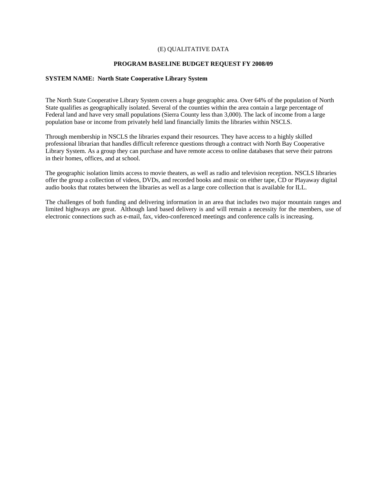### (E) QUALITATIVE DATA

#### **PROGRAM BASELINE BUDGET REQUEST FY 2008/09**

#### **SYSTEM NAME: North State Cooperative Library System**

The North State Cooperative Library System covers a huge geographic area. Over 64% of the population of North State qualifies as geographically isolated. Several of the counties within the area contain a large percentage of Federal land and have very small populations (Sierra County less than 3,000). The lack of income from a large population base or income from privately held land financially limits the libraries within NSCLS.

Through membership in NSCLS the libraries expand their resources. They have access to a highly skilled professional librarian that handles difficult reference questions through a contract with North Bay Cooperative Library System. As a group they can purchase and have remote access to online databases that serve their patrons in their homes, offices, and at school.

The geographic isolation limits access to movie theaters, as well as radio and television reception. NSCLS libraries offer the group a collection of videos, DVDs, and recorded books and music on either tape, CD or Playaway digital audio books that rotates between the libraries as well as a large core collection that is available for ILL.

The challenges of both funding and delivering information in an area that includes two major mountain ranges and limited highways are great. Although land based delivery is and will remain a necessity for the members, use of electronic connections such as e-mail, fax, video-conferenced meetings and conference calls is increasing.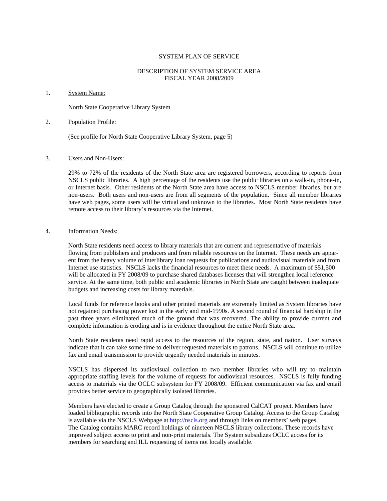#### SYSTEM PLAN OF SERVICE

## DESCRIPTION OF SYSTEM SERVICE AREA FISCAL YEAR 2008/2009

#### 1. System Name:

North State Cooperative Library System

#### 2. Population Profile:

(See profile for North State Cooperative Library System, page 5)

#### 3. Users and Non-Users:

29% to 72% of the residents of the North State area are registered borrowers, according to reports from NSCLS public libraries. A high percentage of the residents use the public libraries on a walk-in, phone-in, or Internet basis. Other residents of the North State area have access to NSCLS member libraries, but are non-users. Both users and non-users are from all segments of the population. Since all member libraries have web pages, some users will be virtual and unknown to the libraries. Most North State residents have remote access to their library's resources via the Internet.

#### 4. Information Needs:

North State residents need access to library materials that are current and representative of materials flowing from publishers and producers and from reliable resources on the Internet. These needs are apparent from the heavy volume of interlibrary loan requests for publications and audiovisual materials and from Internet use statistics. NSCLS lacks the financial resources to meet these needs. A maximum of \$51,500 will be allocated in FY 2008/09 to purchase shared databases licenses that will strengthen local reference service. At the same time, both public and academic libraries in North State are caught between inadequate budgets and increasing costs for library materials.

Local funds for reference books and other printed materials are extremely limited as System libraries have not regained purchasing power lost in the early and mid-1990s. A second round of financial hardship in the past three years eliminated much of the ground that was recovered. The ability to provide current and complete information is eroding and is in evidence throughout the entire North State area.

North State residents need rapid access to the resources of the region, state, and nation. User surveys indicate that it can take some time to deliver requested materials to patrons. NSCLS will continue to utilize fax and email transmission to provide urgently needed materials in minutes.

NSCLS has dispersed its audiovisual collection to two member libraries who will try to maintain appropriate staffing levels for the volume of requests for audiovisual resources. NSCLS is fully funding access to materials via the OCLC subsystem for FY 2008/09. Efficient communication via fax and email provides better service to geographically isolated libraries.

Members have elected to create a Group Catalog through the sponsored CalCAT project. Members have loaded bibliographic records into the North State Cooperative Group Catalog. Access to the Group Catalog is available via the NSCLS Webpage at http://nscls.org and through links on members' web pages. The Catalog contains MARC record holdings of nineteen NSCLS library collections. These records have improved subject access to print and non-print materials. The System subsidizes OCLC access for its members for searching and ILL requesting of items not locally available.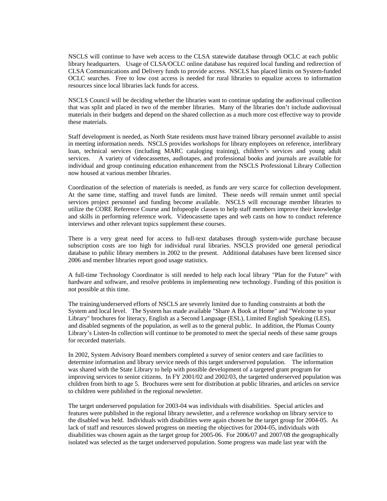NSCLS will continue to have web access to the CLSA statewide database through OCLC at each public library headquarters. Usage of CLSA/OCLC online database has required local funding and redirection of CLSA Communications and Delivery funds to provide access. NSCLS has placed limits on System-funded OCLC searches. Free to low cost access is needed for rural libraries to equalize access to information resources since local libraries lack funds for access.

NSCLS Council will be deciding whether the libraries want to continue updating the audiovisual collection that was split and placed in two of the member libraries. Many of the libraries don't include audiovisual materials in their budgets and depend on the shared collection as a much more cost effective way to provide these materials.

Staff development is needed, as North State residents must have trained library personnel available to assist in meeting information needs. NSCLS provides workshops for library employees on reference, interlibrary loan, technical services (including MARC cataloging training), children's services and young adult services. A variety of videocassettes, audiotapes, and professional books and journals are available for individual and group continuing education enhancement from the NSCLS Professional Library Collection now housed at various member libraries.

Coordination of the selection of materials is needed, as funds are very scarce for collection development. At the same time, staffing and travel funds are limited. These needs will remain unmet until special services project personnel and funding become available. NSCLS will encourage member libraries to utilize the CORE Reference Course and Infopeople classes to help staff members improve their knowledge and skills in performing reference work. Videocassette tapes and web casts on how to conduct reference interviews and other relevant topics supplement these courses.

There is a very great need for access to full-text databases through system-wide purchase because subscription costs are too high for individual rural libraries. NSCLS provided one general periodical database to public library members in 2002 to the present. Additional databases have been licensed since 2006 and member libraries report good usage statistics.

A full-time Technology Coordinator is still needed to help each local library "Plan for the Future" with hardware and software, and resolve problems in implementing new technology. Funding of this position is not possible at this time.

The training/underserved efforts of NSCLS are severely limited due to funding constraints at both the System and local level. The System has made available "Share A Book at Home" and "Welcome to your Library" brochures for literacy, English as a Second Language (ESL), Limited English Speaking (LES), and disabled segments of the population, as well as to the general public. In addition, the Plumas County Library's Listen-In collection will continue to be promoted to meet the special needs of these same groups for recorded materials.

In 2002, System Advisory Board members completed a survey of senior centers and care facilities to determine information and library service needs of this target underserved population. The information was shared with the State Library to help with possible development of a targeted grant program for improving services to senior citizens. In FY 2001/02 and 2002/03, the targeted underserved population was children from birth to age 5. Brochures were sent for distribution at public libraries, and articles on service to children were published in the regional newsletter.

The target underserved population for 2003-04 was individuals with disabilities. Special articles and features were published in the regional library newsletter, and a reference workshop on library service to the disabled was held. Individuals with disabilities were again chosen be the target group for 2004-05. As lack of staff and resources slowed progress on meeting the objectives for 2004-05, individuals with disabilities was chosen again as the target group for 2005-06. For 2006/07 and 2007/08 the geographically isolated was selected as the target underserved population. Some progress was made last year with the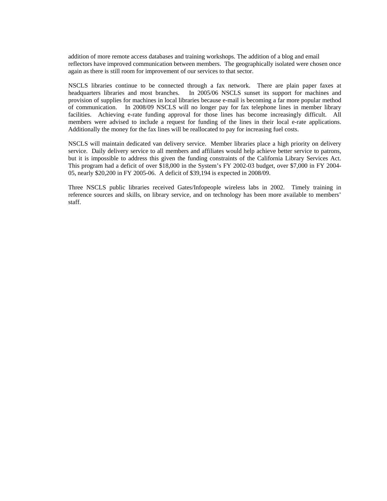addition of more remote access databases and training workshops. The addition of a blog and email reflectors have improved communication between members. The geographically isolated were chosen once again as there is still room for improvement of our services to that sector.

NSCLS libraries continue to be connected through a fax network. There are plain paper faxes at headquarters libraries and most branches. In 2005/06 NSCLS sunset its support for machines and provision of supplies for machines in local libraries because e-mail is becoming a far more popular method of communication. In 2008/09 NSCLS will no longer pay for fax telephone lines in member library facilities. Achieving e-rate funding approval for those lines has become increasingly difficult. All members were advised to include a request for funding of the lines in their local e-rate applications. Additionally the money for the fax lines will be reallocated to pay for increasing fuel costs.

NSCLS will maintain dedicated van delivery service. Member libraries place a high priority on delivery service. Daily delivery service to all members and affiliates would help achieve better service to patrons, but it is impossible to address this given the funding constraints of the California Library Services Act. This program had a deficit of over \$18,000 in the System's FY 2002-03 budget, over \$7,000 in FY 2004- 05, nearly \$20,200 in FY 2005-06. A deficit of \$39,194 is expected in 2008/09.

Three NSCLS public libraries received Gates/Infopeople wireless labs in 2002. Timely training in reference sources and skills, on library service, and on technology has been more available to members' staff.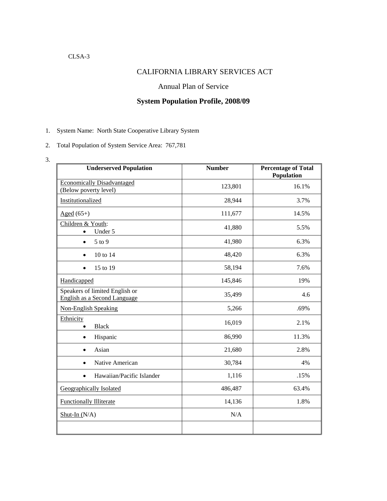# CLSA-3

# CALIFORNIA LIBRARY SERVICES ACT

## Annual Plan of Service

# **System Population Profile, 2008/09**

- 1. System Name: North State Cooperative Library System
- 2. Total Population of System Service Area: 767,781
- 3.

| <b>Underserved Population</b>                                  | <b>Number</b> | <b>Percentage of Total</b><br>Population |
|----------------------------------------------------------------|---------------|------------------------------------------|
| <b>Economically Disadvantaged</b><br>(Below poverty level)     | 123,801       | 16.1%                                    |
| Institutionalized                                              | 28,944        | 3.7%                                     |
| $Aged (65+)$                                                   | 111,677       | 14.5%                                    |
| Children & Youth:<br>Under 5                                   | 41,880        | 5.5%                                     |
| 5 to 9<br>$\bullet$                                            | 41,980        | 6.3%                                     |
| 10 to 14<br>$\bullet$                                          | 48,420        | 6.3%                                     |
| 15 to 19<br>$\bullet$                                          | 58,194        | 7.6%                                     |
| Handicapped                                                    | 145,846       | 19%                                      |
| Speakers of limited English or<br>English as a Second Language | 35,499        | 4.6                                      |
| <b>Non-English Speaking</b>                                    | 5,266         | .69%                                     |
| Ethnicity<br><b>Black</b>                                      | 16,019        | 2.1%                                     |
| Hispanic<br>$\bullet$                                          | 86,990        | 11.3%                                    |
| Asian<br>$\bullet$                                             | 21,680        | 2.8%                                     |
| Native American<br>$\bullet$                                   | 30,784        | 4%                                       |
| Hawaiian/Pacific Islander<br>$\bullet$                         | 1,116         | .15%                                     |
| <b>Geographically Isolated</b>                                 | 486,487       | 63.4%                                    |
| <b>Functionally Illiterate</b>                                 | 14,136        | 1.8%                                     |
| $Shut-In (N/A)$                                                | N/A           |                                          |
|                                                                |               |                                          |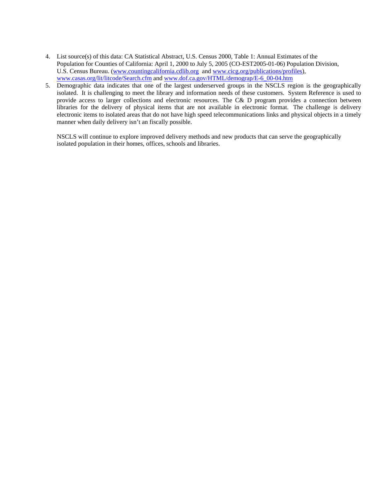- 4. List source(s) of this data: CA Statistical Abstract, U.S. Census 2000, Table 1: Annual Estimates of the Population for Counties of California: April 1, 2000 to July 5, 2005 (CO-EST2005-01-06) Population Division, U.S. Census Bureau. ([www.countingcalifornia.cdlib.org](http://www.countingcalifornia.cdlib.org/) and [www.cicg.org/publications/profiles](http://www.cicg.org/publications/profiles)), [www.casas.org/lit/litcode/Search.cfm](http://www.casas.org/lit/litcode/Search.cfm) and [www.dof.ca.gov/HTML/demograp/E-6\\_00-04.htm](http://www.dof.ca.gov/HTML/demograp/E-6_00-04.htm)
- 5. Demographic data indicates that one of the largest underserved groups in the NSCLS region is the geographically isolated. It is challenging to meet the library and information needs of these customers. System Reference is used to provide access to larger collections and electronic resources. The C& D program provides a connection between libraries for the delivery of physical items that are not available in electronic format. The challenge is delivery electronic items to isolated areas that do not have high speed telecommunications links and physical objects in a timely manner when daily delivery isn't an fiscally possible.

NSCLS will continue to explore improved delivery methods and new products that can serve the geographically isolated population in their homes, offices, schools and libraries.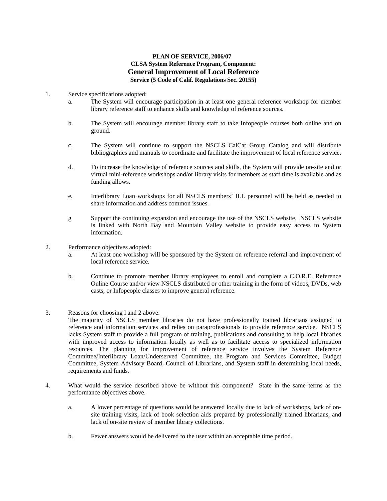## **PLAN OF SERVICE, 2006/07 CLSA System Reference Program, Component: General Improvement of Local Reference Service (5 Code of Calif. Regulations Sec. 20155)**

- 1. Service specifications adopted:
	- a. The System will encourage participation in at least one general reference workshop for member library reference staff to enhance skills and knowledge of reference sources.
	- b. The System will encourage member library staff to take Infopeople courses both online and on ground.
	- c. The System will continue to support the NSCLS CalCat Group Catalog and will distribute bibliographies and manuals to coordinate and facilitate the improvement of local reference service.
	- d. To increase the knowledge of reference sources and skills, the System will provide on-site and or virtual mini-reference workshops and/or library visits for members as staff time is available and as funding allows.
	- e. Interlibrary Loan workshops for all NSCLS members' ILL personnel will be held as needed to share information and address common issues.
	- g Support the continuing expansion and encourage the use of the NSCLS website. NSCLS website is linked with North Bay and Mountain Valley website to provide easy access to System information.
- 2. Performance objectives adopted:
	- a. At least one workshop will be sponsored by the System on reference referral and improvement of local reference service.
	- b. Continue to promote member library employees to enroll and complete a C.O.R.E. Reference Online Course and/or view NSCLS distributed or other training in the form of videos, DVDs, web casts, or Infopeople classes to improve general reference.
- 3. Reasons for choosing l and 2 above:

The majority of NSCLS member libraries do not have professionally trained librarians assigned to reference and information services and relies on paraprofessionals to provide reference service. NSCLS lacks System staff to provide a full program of training, publications and consulting to help local libraries with improved access to information locally as well as to facilitate access to specialized information resources. The planning for improvement of reference service involves the System Reference Committee/Interlibrary Loan/Underserved Committee, the Program and Services Committee, Budget Committee, System Advisory Board, Council of Librarians, and System staff in determining local needs, requirements and funds.

- 4. What would the service described above be without this component? State in the same terms as the performance objectives above.
	- a. A lower percentage of questions would be answered locally due to lack of workshops, lack of onsite training visits, lack of book selection aids prepared by professionally trained librarians, and lack of on-site review of member library collections.
	- b. Fewer answers would be delivered to the user within an acceptable time period.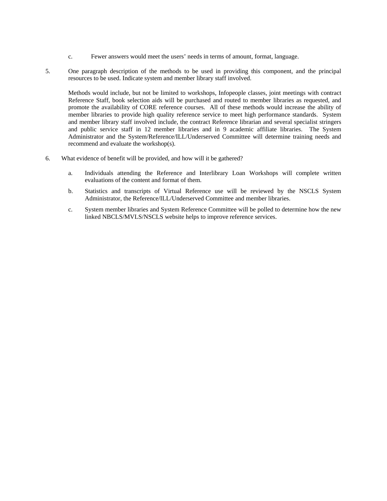- c. Fewer answers would meet the users' needs in terms of amount, format, language.
- 5. One paragraph description of the methods to be used in providing this component, and the principal resources to be used. Indicate system and member library staff involved.

Methods would include, but not be limited to workshops, Infopeople classes, joint meetings with contract Reference Staff, book selection aids will be purchased and routed to member libraries as requested, and promote the availability of CORE reference courses. All of these methods would increase the ability of member libraries to provide high quality reference service to meet high performance standards. System and member library staff involved include, the contract Reference librarian and several specialist stringers and public service staff in 12 member libraries and in 9 academic affiliate libraries. The System Administrator and the System/Reference/ILL/Underserved Committee will determine training needs and recommend and evaluate the workshop(s).

- 6. What evidence of benefit will be provided, and how will it be gathered?
	- a. Individuals attending the Reference and Interlibrary Loan Workshops will complete written evaluations of the content and format of them.
	- b. Statistics and transcripts of Virtual Reference use will be reviewed by the NSCLS System Administrator, the Reference/ILL/Underserved Committee and member libraries.
	- c. System member libraries and System Reference Committee will be polled to determine how the new linked NBCLS/MVLS/NSCLS website helps to improve reference services.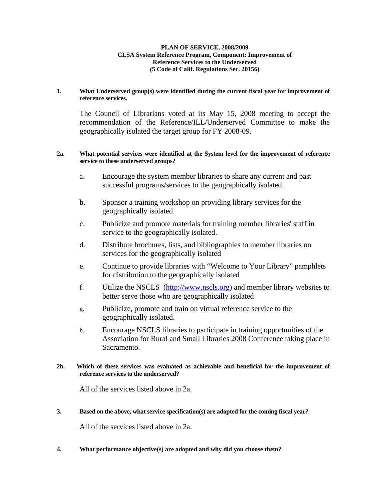## **PLAN OF SERVICE, 2008/2009 CLSA System Reference Program, Component: Improvement of Reference Services to the Underserved (5 Code of Calif. Regulations Sec. 20156)**

## **1. What Underserved group(s) were identified during the current fiscal year for improvement of reference services.**

The Council of Librarians voted at its May 15, 2008 meeting to accept the recommendation of the Reference/ILL/Underserved Committee to make the geographically isolated the target group for FY 2008-09.

## **2a. What potential services were identified at the System level for the improvement of reference service to these underserved groups?**

- a. Encourage the system member libraries to share any current and past successful programs/services to the geographically isolated.
- b. Sponsor a training workshop on providing library services for the geographically isolated.
- c. Publicize and promote materials for training member libraries' staff in service to the geographically isolated.
- d. Distribute brochures, lists, and bibliographies to member libraries on services for the geographically isolated
- e. Continue to provide libraries with "Welcome to Your Library" pamphlets for distribution to the geographically isolated
- f. Utilize the NSCLS ([http://www.nscls.org](http://www.nscls.org/)) and member library websites to better serve those who are geographically isolated
- g. Publicize, promote and train on virtual reference service to the geographically isolated.
- h. Encourage NSCLS libraries to participate in training opportunities of the Association for Rural and Small Libraries 2008 Conference taking place in Sacramento.

## **2b. Which of these services was evaluated as achievable and beneficial for the improvement of reference services to the underserved?**

All of the services listed above in 2a.

## **3. Based on the above, what service specification(s) are adopted for the coming fiscal year?**

All of the services listed above in 2a.

**4. What performance objective(s) are adopted and why did you choose them?**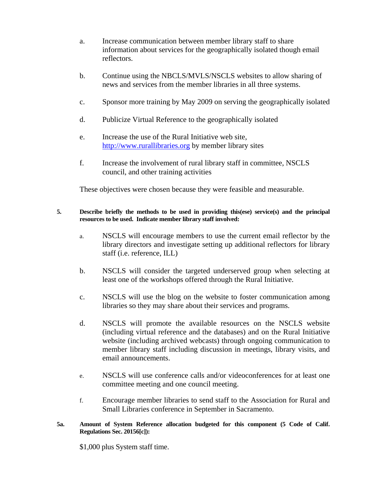- a. Increase communication between member library staff to share information about services for the geographically isolated though email reflectors.
- b. Continue using the NBCLS/MVLS/NSCLS websites to allow sharing of news and services from the member libraries in all three systems.
- c. Sponsor more training by May 2009 on serving the geographically isolated
- d. Publicize Virtual Reference to the geographically isolated
- e. Increase the use of the Rural Initiative web site, [http://www.rurallibraries.org](http://www.rurallibraries.org/) by member library sites
- f. Increase the involvement of rural library staff in committee, NSCLS council, and other training activities

These objectives were chosen because they were feasible and measurable.

## **5. Describe briefly the methods to be used in providing this(ese) service(s) and the principal resources to be used. Indicate member library staff involved:**

- a. NSCLS will encourage members to use the current email reflector by the library directors and investigate setting up additional reflectors for library staff (i.e. reference, ILL)
- b. NSCLS will consider the targeted underserved group when selecting at least one of the workshops offered through the Rural Initiative.
- c. NSCLS will use the blog on the website to foster communication among libraries so they may share about their services and programs.
- d. NSCLS will promote the available resources on the NSCLS website (including virtual reference and the databases) and on the Rural Initiative website (including archived webcasts) through ongoing communication to member library staff including discussion in meetings, library visits, and email announcements.
- e. NSCLS will use conference calls and/or videoconferences for at least one committee meeting and one council meeting.
- f. Encourage member libraries to send staff to the Association for Rural and Small Libraries conference in September in Sacramento.

## **5a. Amount of System Reference allocation budgeted for this component (5 Code of Calif. Regulations Sec. 20156[c]):**

\$1,000 plus System staff time.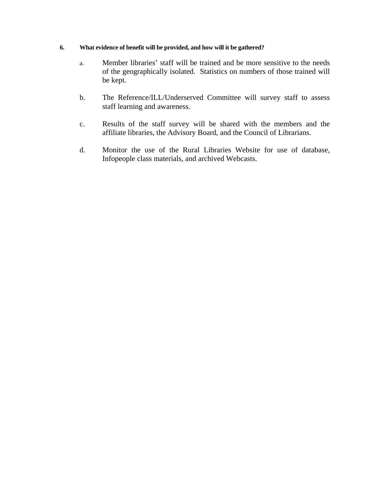## **6. What evidence of benefit will be provided, and how will it be gathered?**

- a. Member libraries' staff will be trained and be more sensitive to the needs of the geographically isolated. Statistics on numbers of those trained will be kept.
- b. The Reference/ILL/Underserved Committee will survey staff to assess staff learning and awareness.
- c. Results of the staff survey will be shared with the members and the affiliate libraries, the Advisory Board, and the Council of Librarians.
- d. Monitor the use of the Rural Libraries Website for use of database, Infopeople class materials, and archived Webcasts.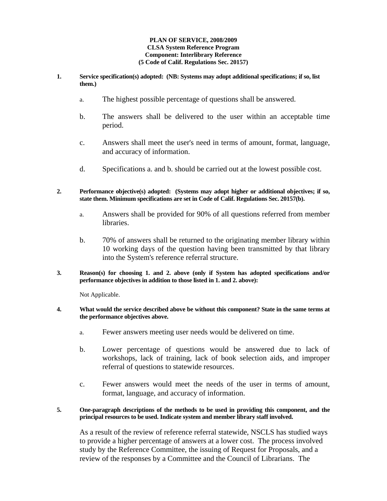### **PLAN OF SERVICE, 2008/2009 CLSA System Reference Program Component: Interlibrary Reference (5 Code of Calif. Regulations Sec. 20157)**

- **1. Service specification(s) adopted: (NB: Systems may adopt additional specifications; if so, list them.)** 
	- a. The highest possible percentage of questions shall be answered.
	- b. The answers shall be delivered to the user within an acceptable time period.
	- c. Answers shall meet the user's need in terms of amount, format, language, and accuracy of information.
	- d. Specifications a. and b. should be carried out at the lowest possible cost.
- **2. Performance objective(s) adopted: (Systems may adopt higher or additional objectives; if so, state them. Minimum specifications are set in Code of Calif. Regulations Sec. 20157(b).** 
	- a. Answers shall be provided for 90% of all questions referred from member libraries.
	- b. 70% of answers shall be returned to the originating member library within 10 working days of the question having been transmitted by that library into the System's reference referral structure.
- **3. Reason(s) for choosing 1. and 2. above (only if System has adopted specifications and/or performance objectives in addition to those listed in 1. and 2. above):**

Not Applicable.

## **4. What would the service described above be without this component? State in the same terms at the performance objectives above.**

- a. Fewer answers meeting user needs would be delivered on time.
- b. Lower percentage of questions would be answered due to lack of workshops, lack of training, lack of book selection aids, and improper referral of questions to statewide resources.
- c. Fewer answers would meet the needs of the user in terms of amount, format, language, and accuracy of information.

## **5. One-paragraph descriptions of the methods to be used in providing this component, and the principal resources to be used. Indicate system and member library staff involved.**

As a result of the review of reference referral statewide, NSCLS has studied ways to provide a higher percentage of answers at a lower cost. The process involved study by the Reference Committee, the issuing of Request for Proposals, and a review of the responses by a Committee and the Council of Librarians. The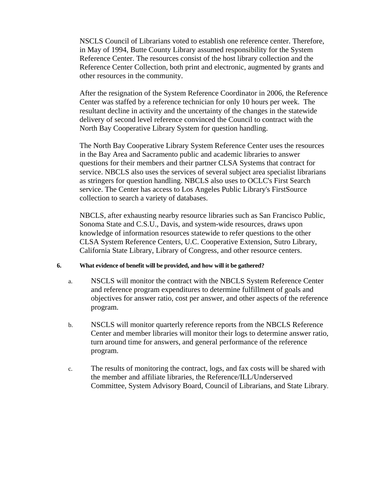NSCLS Council of Librarians voted to establish one reference center. Therefore, in May of 1994, Butte County Library assumed responsibility for the System Reference Center. The resources consist of the host library collection and the Reference Center Collection, both print and electronic, augmented by grants and other resources in the community.

After the resignation of the System Reference Coordinator in 2006, the Reference Center was staffed by a reference technician for only 10 hours per week. The resultant decline in activity and the uncertainty of the changes in the statewide delivery of second level reference convinced the Council to contract with the North Bay Cooperative Library System for question handling.

The North Bay Cooperative Library System Reference Center uses the resources in the Bay Area and Sacramento public and academic libraries to answer questions for their members and their partner CLSA Systems that contract for service. NBCLS also uses the services of several subject area specialist librarians as stringers for question handling. NBCLS also uses to OCLC's First Search service. The Center has access to Los Angeles Public Library's FirstSource collection to search a variety of databases.

NBCLS, after exhausting nearby resource libraries such as San Francisco Public, Sonoma State and C.S.U., Davis, and system-wide resources, draws upon knowledge of information resources statewide to refer questions to the other CLSA System Reference Centers, U.C. Cooperative Extension, Sutro Library, California State Library, Library of Congress, and other resource centers.

## **6. What evidence of benefit will be provided, and how will it be gathered?**

- a. NSCLS will monitor the contract with the NBCLS System Reference Center and reference program expenditures to determine fulfillment of goals and objectives for answer ratio, cost per answer, and other aspects of the reference program.
- b. NSCLS will monitor quarterly reference reports from the NBCLS Reference Center and member libraries will monitor their logs to determine answer ratio, turn around time for answers, and general performance of the reference program.
- c. The results of monitoring the contract, logs, and fax costs will be shared with the member and affiliate libraries, the Reference/ILL/Underserved Committee, System Advisory Board, Council of Librarians, and State Library.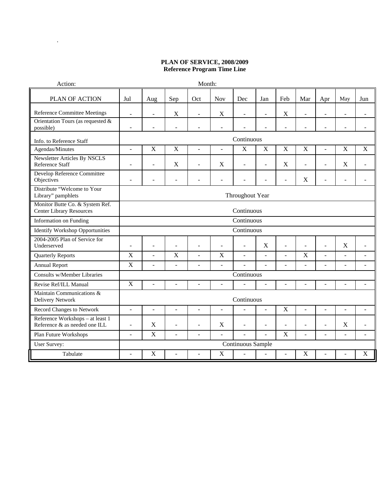## **PLAN OF SERVICE, 2008/2009 Reference Program Time Line**

| Action:                                                            | Month:          |                          |                         |                     |                           |                          |                          |                |                         |                |                          |                |
|--------------------------------------------------------------------|-----------------|--------------------------|-------------------------|---------------------|---------------------------|--------------------------|--------------------------|----------------|-------------------------|----------------|--------------------------|----------------|
| PLAN OF ACTION                                                     | Jul             | Aug                      | Sep                     | Oct                 | <b>Nov</b>                | Dec                      | Jan                      | Feb            | Mar                     | Apr            | May                      | Jun            |
| Reference Committee Meetings                                       | $\overline{a}$  | $\frac{1}{2}$            | X                       | ÷,                  | X                         |                          | ÷                        | $\mathbf X$    | ÷                       | ÷,             | $\overline{\phantom{a}}$ |                |
| Orientation Tours (as requested &<br>possible)                     |                 |                          |                         |                     | L.                        |                          |                          |                |                         |                |                          |                |
| Info. to Reference Staff                                           |                 |                          |                         |                     |                           | Continuous               |                          |                |                         |                |                          |                |
| Agendas/Minutes                                                    | $\overline{a}$  | $\mathbf X$              | $\mathbf X$             | $\bar{\phantom{a}}$ | $\overline{\phantom{a}}$  | $\mathbf X$              | $\mathbf X$              | $\mathbf X$    | X                       | ÷,             | $\mathbf X$              | $\mathbf X$    |
| Newsletter Articles By NSCLS<br>Reference Staff                    | ÷,              | ÷                        | X                       | $\overline{a}$      | X                         | $\overline{\phantom{a}}$ | $\overline{a}$           | X              | $\overline{a}$          | $\overline{a}$ | X                        | $\sim$         |
| Develop Reference Committee<br>Objectives                          | ÷.              | ۳                        | ÷                       |                     | ä,                        | $\overline{\phantom{a}}$ | ÷                        | $\blacksquare$ | X                       | L.             | $\sim$                   |                |
| Distribute "Welcome to Your<br>Library" pamphlets                  | Throughout Year |                          |                         |                     |                           |                          |                          |                |                         |                |                          |                |
| Monitor Butte Co. & System Ref.<br><b>Center Library Resources</b> |                 | Continuous               |                         |                     |                           |                          |                          |                |                         |                |                          |                |
| <b>Information on Funding</b>                                      |                 |                          |                         |                     |                           | Continuous               |                          |                |                         |                |                          |                |
| <b>Identify Workshop Opportunities</b>                             |                 |                          |                         |                     |                           | Continuous               |                          |                |                         |                |                          |                |
| 2004-2005 Plan of Service for<br>Underserved                       | L.              | ä,                       |                         | ÷.                  | L.                        | $\sim$                   | X                        | $\overline{a}$ |                         | L.             | X                        | $\overline{a}$ |
| Quarterly Reports                                                  | X               | $\overline{\phantom{a}}$ | $\overline{\mathrm{X}}$ | ÷.                  | $\overline{X}$            | $\overline{\phantom{a}}$ | $\overline{a}$           | $\overline{a}$ | $\overline{\mathrm{X}}$ | ÷,             | $\bar{\phantom{a}}$      |                |
| <b>Annual Report</b>                                               | $\mathbf X$     | $\overline{a}$           | $\blacksquare$          | $\bar{\phantom{a}}$ | $\overline{\phantom{a}}$  | $\Box$                   | $\overline{\phantom{a}}$ | $\overline{a}$ | $\overline{a}$          | ÷,             | $\overline{\phantom{a}}$ | $\sim$         |
| Consults w/Member Libraries                                        |                 |                          |                         |                     |                           | Continuous               |                          |                |                         |                |                          |                |
| Revise Ref/ILL Manual                                              | $\mathbf X$     | ÷.                       |                         |                     | $\overline{a}$            |                          |                          | L.             |                         |                |                          | $\overline{a}$ |
| Maintain Communications &<br>Delivery Network                      |                 |                          |                         |                     |                           | Continuous               |                          |                |                         |                |                          |                |
| Record Changes to Network                                          | ÷,              | $\bar{\phantom{a}}$      | $\overline{a}$          | $\overline{a}$      | $\mathbf{r}$              | L.                       | $\mathbf{r}$             | $\mathbf X$    | $\equiv$                | L.             | $\sim$                   | ÷.             |
| Reference Workshops - at least 1<br>Reference & as needed one ILL  | ÷,              | X                        | $\overline{a}$          | ÷                   | $\boldsymbol{\mathrm{X}}$ | $\overline{\phantom{a}}$ | $\overline{\phantom{a}}$ | $\blacksquare$ | ÷                       | ÷,             | $\mathbf X$              |                |
| Plan Future Workshops                                              | ÷,              | $\mathbf X$              | $\overline{a}$          | ÷.                  | $\overline{a}$            |                          | $\mathbf{r}$             | X              | $\equiv$                | L.             | $\overline{\phantom{a}}$ |                |
| <b>User Survey:</b>                                                |                 |                          |                         |                     |                           | Continuous Sample        |                          |                |                         |                |                          |                |
| Tabulate                                                           | $\overline{a}$  | $\mathbf X$              |                         | ÷,                  | $\boldsymbol{\mathrm{X}}$ | $\overline{\phantom{a}}$ | $\blacksquare$           | ÷,             | $\mathbf X$             | $\overline{a}$ |                          | X              |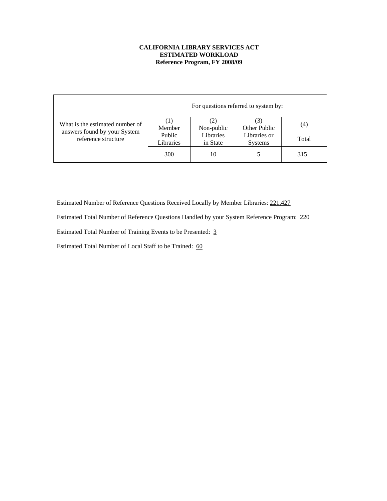## **CALIFORNIA LIBRARY SERVICES ACT ESTIMATED WORKLOAD Reference Program, FY 2008/09**

|                                                                 |                     | For questions referred to system by: |                                |       |  |  |  |  |  |  |
|-----------------------------------------------------------------|---------------------|--------------------------------------|--------------------------------|-------|--|--|--|--|--|--|
| What is the estimated number of<br>answers found by your System | Member              | Non-public                           | Other Public                   | (4)   |  |  |  |  |  |  |
| reference structure                                             | Public<br>Libraries | Libraries<br>in State                | Libraries or<br><b>Systems</b> | Total |  |  |  |  |  |  |
|                                                                 | 300                 | 10                                   | 5                              | 315   |  |  |  |  |  |  |

Estimated Number of Reference Questions Received Locally by Member Libraries: 221,427

Estimated Total Number of Reference Questions Handled by your System Reference Program: 220

Estimated Total Number of Training Events to be Presented: 3

Estimated Total Number of Local Staff to be Trained: 60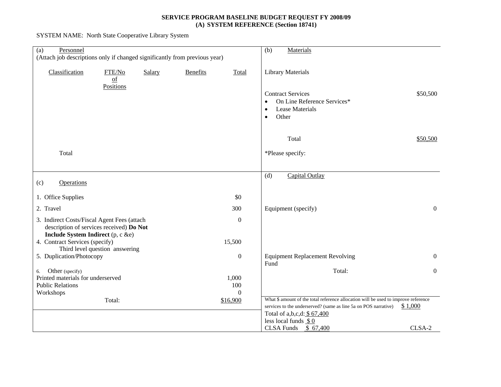## **SERVICE PROGRAM BASELINE BUDGET REQUEST FY 2008/09 (A) SYSTEM REFERENCE (Section 18741)**

SYSTEM NAME: North State Cooperative Library System

| Personnel<br>(a)<br>(Attach job descriptions only if changed significantly from previous year)                               |                          | Materials<br>(b)                                                                                                                                      |                |
|------------------------------------------------------------------------------------------------------------------------------|--------------------------|-------------------------------------------------------------------------------------------------------------------------------------------------------|----------------|
| Classification<br>FTE/No<br>Salary<br>$\underline{of}$                                                                       | <b>Benefits</b><br>Total | <b>Library Materials</b>                                                                                                                              |                |
| Positions                                                                                                                    |                          | <b>Contract Services</b><br>On Line Reference Services*<br>$\bullet$<br><b>Lease Materials</b><br>$\bullet$<br>Other<br>$\bullet$                     | \$50,500       |
|                                                                                                                              |                          | Total                                                                                                                                                 | \$50,500       |
| Total                                                                                                                        |                          | *Please specify:                                                                                                                                      |                |
|                                                                                                                              |                          | (d)<br>Capital Outlay                                                                                                                                 |                |
| <b>Operations</b><br>(c)                                                                                                     |                          |                                                                                                                                                       |                |
| 1. Office Supplies                                                                                                           | \$0                      |                                                                                                                                                       |                |
| 2. Travel                                                                                                                    | 300                      | Equipment (specify)                                                                                                                                   | $\mathbf{0}$   |
| 3. Indirect Costs/Fiscal Agent Fees (attach<br>description of services received) Do Not<br>Include System Indirect (p, c &e) | $\boldsymbol{0}$         |                                                                                                                                                       |                |
| 4. Contract Services (specify)                                                                                               | 15,500                   |                                                                                                                                                       |                |
| Third level question answering<br>5. Duplication/Photocopy                                                                   | $\boldsymbol{0}$         | <b>Equipment Replacement Revolving</b><br>Fund                                                                                                        | $\overline{0}$ |
| Other (specify)<br>6.                                                                                                        |                          | Total:                                                                                                                                                | $\mathbf{0}$   |
| Printed materials for underserved                                                                                            | 1,000                    |                                                                                                                                                       |                |
| <b>Public Relations</b><br>Workshops                                                                                         | 100<br>$\theta$          |                                                                                                                                                       |                |
| Total:                                                                                                                       | \$16,900                 | What \$ amount of the total reference allocation will be used to improve reference<br>services to the underserved? (same as line 5a on POS narrative) | \$1,000        |
|                                                                                                                              |                          | Total of a,b,c,d: \$ 67,400                                                                                                                           |                |
|                                                                                                                              |                          | less local funds $$0$<br>CLSA Funds $$67,400$                                                                                                         | CLSA-2         |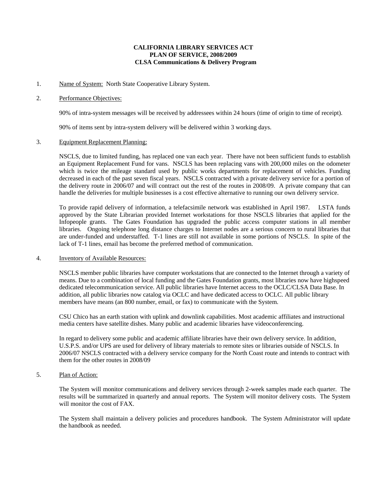### **CALIFORNIA LIBRARY SERVICES ACT PLAN OF SERVICE, 2008/2009 CLSA Communications & Delivery Program**

#### 1. Name of System: North State Cooperative Library System.

#### 2. Performance Objectives:

90% of intra-system messages will be received by addressees within 24 hours (time of origin to time of receipt).

90% of items sent by intra-system delivery will be delivered within 3 working days.

#### 3. Equipment Replacement Planning:

NSCLS, due to limited funding, has replaced one van each year. There have not been sufficient funds to establish an Equipment Replacement Fund for vans. NSCLS has been replacing vans with 200,000 miles on the odometer which is twice the mileage standard used by public works departments for replacement of vehicles. Funding decreased in each of the past seven fiscal years. NSCLS contracted with a private delivery service for a portion of the delivery route in 2006/07 and will contract out the rest of the routes in 2008/09. A private company that can handle the deliveries for multiple businesses is a cost effective alternative to running our own delivery service.

To provide rapid delivery of information, a telefacsimile network was established in April 1987. LSTA funds approved by the State Librarian provided Internet workstations for those NSCLS libraries that applied for the Infopeople grants. The Gates Foundation has upgraded the public access computer stations in all member libraries. Ongoing telephone long distance charges to Internet nodes are a serious concern to rural libraries that are under-funded and understaffed. T-1 lines are still not available in some portions of NSCLS. In spite of the lack of T-1 lines, email has become the preferred method of communication.

#### 4. Inventory of Available Resources:

NSCLS member public libraries have computer workstations that are connected to the Internet through a variety of means. Due to a combination of local funding and the Gates Foundation grants, most libraries now have highspeed dedicated telecommunication service. All public libraries have Internet access to the OCLC/CLSA Data Base. In addition, all public libraries now catalog via OCLC and have dedicated access to OCLC. All public library members have means (an 800 number, email, or fax) to communicate with the System.

CSU Chico has an earth station with uplink and downlink capabilities. Most academic affiliates and instructional media centers have satellite dishes. Many public and academic libraries have videoconferencing.

In regard to delivery some public and academic affiliate libraries have their own delivery service. In addition, U.S.P.S. and/or UPS are used for delivery of library materials to remote sites or libraries outside of NSCLS. In 2006/07 NSCLS contracted with a delivery service company for the North Coast route and intends to contract with them for the other routes in 2008/09

#### 5. Plan of Action:

The System will monitor communications and delivery services through 2-week samples made each quarter. The results will be summarized in quarterly and annual reports. The System will monitor delivery costs. The System will monitor the cost of FAX.

The System shall maintain a delivery policies and procedures handbook. The System Administrator will update the handbook as needed.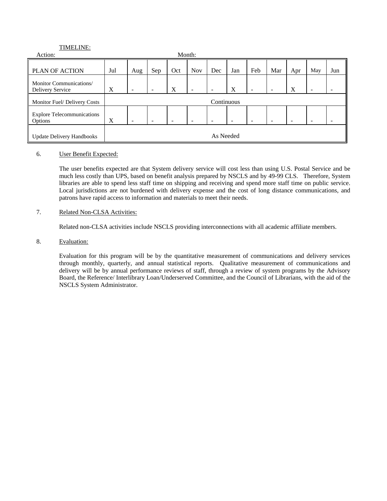## TIMELINE:

| Action:                                      |     | Month:                   |     |     |            |     |     |     |     |     |     |     |
|----------------------------------------------|-----|--------------------------|-----|-----|------------|-----|-----|-----|-----|-----|-----|-----|
| PLAN OF ACTION                               | Jul | Aug                      | Sep | Oct | <b>Nov</b> | Dec | Jan | Feb | Mar | Apr | May | Jun |
| Monitor Communications/<br>Delivery Service  | X   |                          |     | X   | -          |     | X   |     |     | X   |     |     |
| Monitor Fuel/Delivery Costs                  |     | Continuous               |     |     |            |     |     |     |     |     |     |     |
| <b>Explore Telecommunications</b><br>Options | X   | $\overline{\phantom{0}}$ |     |     |            |     |     |     |     |     |     |     |
| <b>Update Delivery Handbooks</b>             |     | As Needed                |     |     |            |     |     |     |     |     |     |     |

### 6. User Benefit Expected:

The user benefits expected are that System delivery service will cost less than using U.S. Postal Service and be much less costly than UPS, based on benefit analysis prepared by NSCLS and by 49-99 CLS. Therefore, System libraries are able to spend less staff time on shipping and receiving and spend more staff time on public service. Local jurisdictions are not burdened with delivery expense and the cost of long distance communications, and patrons have rapid access to information and materials to meet their needs.

## 7. Related Non-CLSA Activities:

Related non-CLSA activities include NSCLS providing interconnections with all academic affiliate members.

### 8. Evaluation:

Evaluation for this program will be by the quantitative measurement of communications and delivery services through monthly, quarterly, and annual statistical reports. Qualitative measurement of communications and delivery will be by annual performance reviews of staff, through a review of system programs by the Advisory Board, the Reference/ Interlibrary Loan/Underserved Committee, and the Council of Librarians, with the aid of the NSCLS System Administrator.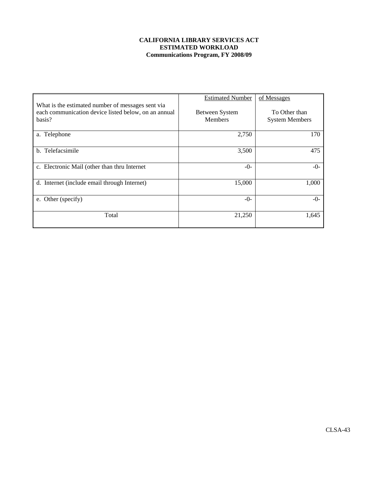## **CALIFORNIA LIBRARY SERVICES ACT ESTIMATED WORKLOAD Communications Program, FY 2008/09**

|                                                                                                                     | <b>Estimated Number</b>                 | of Messages                            |  |  |
|---------------------------------------------------------------------------------------------------------------------|-----------------------------------------|----------------------------------------|--|--|
| What is the estimated number of messages sent via<br>each communication device listed below, on an annual<br>basis? | <b>Between System</b><br><b>Members</b> | To Other than<br><b>System Members</b> |  |  |
| a. Telephone                                                                                                        | 2,750                                   | 170                                    |  |  |
| b. Telefacsimile                                                                                                    | 3,500                                   | 475                                    |  |  |
| c. Electronic Mail (other than thru Internet                                                                        | $-()$ -                                 | $-()$ -                                |  |  |
| d. Internet (include email through Internet)                                                                        | 15,000                                  | 1,000                                  |  |  |
| e. Other (specify)                                                                                                  | $-0-$                                   | $-0-$                                  |  |  |
| Total                                                                                                               | 21,250                                  | 1,645                                  |  |  |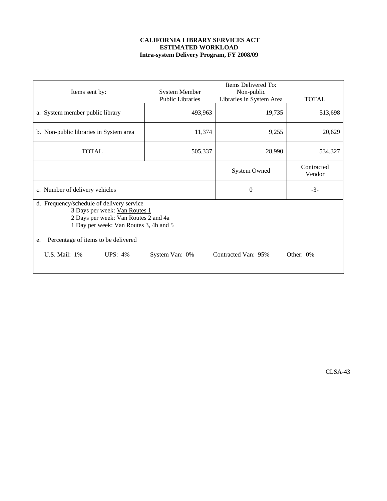## **CALIFORNIA LIBRARY SERVICES ACT ESTIMATED WORKLOAD Intra-system Delivery Program, FY 2008/09**

|                                           |                         | Items Delivered To:      |                      |  |  |  |  |  |  |  |
|-------------------------------------------|-------------------------|--------------------------|----------------------|--|--|--|--|--|--|--|
| Items sent by:                            | <b>System Member</b>    | Non-public               |                      |  |  |  |  |  |  |  |
|                                           | <b>Public Libraries</b> | Libraries in System Area | <b>TOTAL</b>         |  |  |  |  |  |  |  |
| a. System member public library           | 493,963                 | 19,735                   | 513,698              |  |  |  |  |  |  |  |
| b. Non-public libraries in System area    | 11,374                  | 9,255                    | 20,629               |  |  |  |  |  |  |  |
| <b>TOTAL</b>                              | 505,337                 | 28,990                   | 534,327              |  |  |  |  |  |  |  |
|                                           |                         | <b>System Owned</b>      | Contracted<br>Vendor |  |  |  |  |  |  |  |
| c. Number of delivery vehicles            |                         | $\theta$                 | $-3-$                |  |  |  |  |  |  |  |
| d. Frequency/schedule of delivery service |                         |                          |                      |  |  |  |  |  |  |  |
| 3 Days per week: Van Routes 1             |                         |                          |                      |  |  |  |  |  |  |  |
| 2 Days per week: Van Routes 2 and 4a      |                         |                          |                      |  |  |  |  |  |  |  |
| 1 Day per week: Van Routes 3, 4b and 5    |                         |                          |                      |  |  |  |  |  |  |  |
| Percentage of items to be delivered<br>e. |                         |                          |                      |  |  |  |  |  |  |  |
| U.S. Mail: 1%<br><b>UPS: 4%</b>           | System Van: 0%          | Contracted Van: 95%      | Other: 0%            |  |  |  |  |  |  |  |

CLSA-43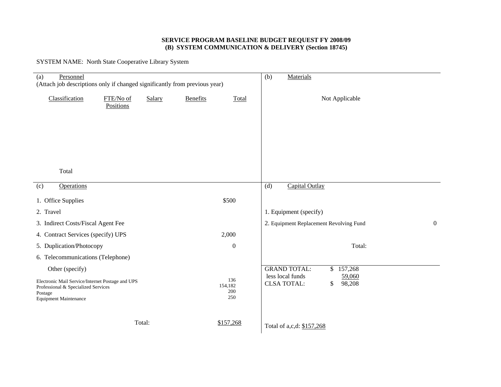#### **SERVICE PROGRAM BASELINE BUDGET REQUEST FY 2008/09 (B) SYSTEM COMMUNICATION & DELIVERY (Section 18745)**

SYSTEM NAME: North State Cooperative Library System

| Personnel<br>(a)<br>(Attach job descriptions only if changed significantly from previous year)                                     |                        |        | Materials<br>(b) |                              |                                                                  |  |  |  |  |  |
|------------------------------------------------------------------------------------------------------------------------------------|------------------------|--------|------------------|------------------------------|------------------------------------------------------------------|--|--|--|--|--|
| Classification                                                                                                                     | FTE/No of<br>Positions | Salary | Benefits         | Total                        | Not Applicable                                                   |  |  |  |  |  |
|                                                                                                                                    |                        |        |                  |                              |                                                                  |  |  |  |  |  |
|                                                                                                                                    |                        |        |                  |                              |                                                                  |  |  |  |  |  |
| Total                                                                                                                              |                        |        |                  |                              |                                                                  |  |  |  |  |  |
|                                                                                                                                    |                        |        |                  |                              |                                                                  |  |  |  |  |  |
| <b>Operations</b><br>(c)                                                                                                           |                        |        |                  |                              | (d)<br>Capital Outlay                                            |  |  |  |  |  |
| 1. Office Supplies                                                                                                                 |                        |        |                  | \$500                        |                                                                  |  |  |  |  |  |
| 2. Travel                                                                                                                          |                        |        |                  |                              | 1. Equipment (specify)                                           |  |  |  |  |  |
| 3. Indirect Costs/Fiscal Agent Fee                                                                                                 |                        |        |                  |                              | 2. Equipment Replacement Revolving Fund<br>$\overline{0}$        |  |  |  |  |  |
| 4. Contract Services (specify) UPS                                                                                                 |                        |        |                  | 2,000                        |                                                                  |  |  |  |  |  |
| 5. Duplication/Photocopy                                                                                                           |                        |        |                  | $\boldsymbol{0}$             | Total:                                                           |  |  |  |  |  |
| 6. Telecommunications (Telephone)                                                                                                  |                        |        |                  |                              |                                                                  |  |  |  |  |  |
| Other (specify)                                                                                                                    |                        |        |                  |                              | <b>GRAND TOTAL:</b><br>\$157,268                                 |  |  |  |  |  |
| Electronic Mail Service/Internet Postage and UPS<br>Professional & Specialized Services<br>Postage<br><b>Equipment Maintenance</b> |                        |        |                  | 136<br>154,182<br>200<br>250 | less local funds<br>59,060<br>98,208<br><b>CLSA TOTAL:</b><br>\$ |  |  |  |  |  |
|                                                                                                                                    |                        | Total: |                  | \$157,268                    | Total of a,c,d: \$157,268                                        |  |  |  |  |  |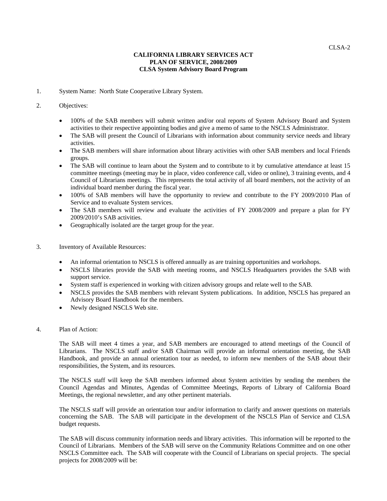## **CALIFORNIA LIBRARY SERVICES ACT PLAN OF SERVICE, 2008/2009 CLSA System Advisory Board Program**

1. System Name: North State Cooperative Library System.

#### 2. Objectives:

- 100% of the SAB members will submit written and/or oral reports of System Advisory Board and System activities to their respective appointing bodies and give a memo of same to the NSCLS Administrator.
- The SAB will present the Council of Librarians with information about community service needs and library activities.
- The SAB members will share information about library activities with other SAB members and local Friends groups.
- The SAB will continue to learn about the System and to contribute to it by cumulative attendance at least 15 committee meetings (meeting may be in place, video conference call, video or online), 3 training events, and 4 Council of Librarians meetings. This represents the total activity of all board members, not the activity of an individual board member during the fiscal year.
- 100% of SAB members will have the opportunity to review and contribute to the FY 2009/2010 Plan of Service and to evaluate System services.
- The SAB members will review and evaluate the activities of FY 2008/2009 and prepare a plan for FY 2009/2010's SAB activities.
- Geographically isolated are the target group for the year.
- 3. Inventory of Available Resources:
	- An informal orientation to NSCLS is offered annually as are training opportunities and workshops.
	- NSCLS libraries provide the SAB with meeting rooms, and NSCLS Headquarters provides the SAB with support service.
	- System staff is experienced in working with citizen advisory groups and relate well to the SAB.
	- NSCLS provides the SAB members with relevant System publications. In addition, NSCLS has prepared an Advisory Board Handbook for the members.
	- Newly designed NSCLS Web site.

#### 4. Plan of Action:

The SAB will meet 4 times a year, and SAB members are encouraged to attend meetings of the Council of Librarians. The NSCLS staff and/or SAB Chairman will provide an informal orientation meeting, the SAB Handbook, and provide an annual orientation tour as needed, to inform new members of the SAB about their responsibilities, the System, and its resources.

The NSCLS staff will keep the SAB members informed about System activities by sending the members the Council Agendas and Minutes, Agendas of Committee Meetings, Reports of Library of California Board Meetings, the regional newsletter, and any other pertinent materials.

The NSCLS staff will provide an orientation tour and/or information to clarify and answer questions on materials concerning the SAB. The SAB will participate in the development of the NSCLS Plan of Service and CLSA budget requests.

The SAB will discuss community information needs and library activities. This information will be reported to the Council of Librarians. Members of the SAB will serve on the Community Relations Committee and on one other NSCLS Committee each. The SAB will cooperate with the Council of Librarians on special projects. The special projects for 2008/2009 will be: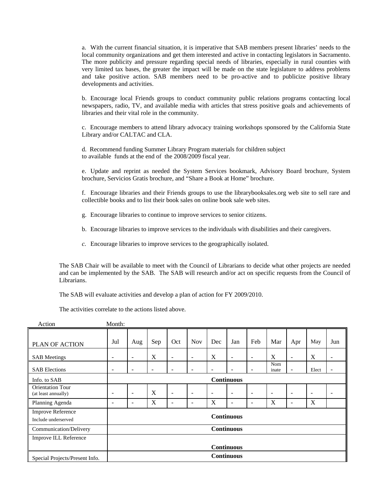a. With the current financial situation, it is imperative that SAB members present libraries' needs to the local community organizations and get them interested and active in contacting legislators in Sacramento. The more publicity and pressure regarding special needs of libraries, especially in rural counties with very limited tax bases, the greater the impact will be made on the state legislature to address problems and take positive action. SAB members need to be pro-active and to publicize positive library developments and activities.

b. Encourage local Friends groups to conduct community public relations programs contacting local newspapers, radio, TV, and available media with articles that stress positive goals and achievements of libraries and their vital role in the community.

c. Encourage members to attend library advocacy training workshops sponsored by the California State Library and/or CALTAC and CLA.

d. Recommend funding Summer Library Program materials for children subject to available funds at the end of the 2008/2009 fiscal year.

 e. Update and reprint as needed the System Services bookmark, Advisory Board brochure, System brochure, Servicios Gratis brochure, and "Share a Book at Home" brochure.

f. Encourage libraries and their Friends groups to use the librarybooksales.org web site to sell rare and collectible books and to list their book sales on online book sale web sites.

- g. Encourage libraries to continue to improve services to senior citizens.
- b. Encourage libraries to improve services to the individuals with disabilities and their caregivers.
- *c.* Encourage libraries to improve services to the geographically isolated.

The SAB Chair will be available to meet with the Council of Librarians to decide what other projects are needed and can be implemented by the SAB. The SAB will research and/or act on specific requests from the Council of Librarians.

The SAB will evaluate activities and develop a plan of action for FY 2009/2010.

The activities correlate to the actions listed above.

| Action                                          | Month: |                          |     |                          |                          |     |                              |                          |              |                          |                          |     |
|-------------------------------------------------|--------|--------------------------|-----|--------------------------|--------------------------|-----|------------------------------|--------------------------|--------------|--------------------------|--------------------------|-----|
| PLAN OF ACTION                                  | Jul    | Aug                      | Sep | Oct                      | <b>Nov</b>               | Dec | Jan                          | Feb                      | Mar          | Apr                      | May                      | Jun |
| <b>SAB</b> Meetings                             | -      | $\overline{\phantom{a}}$ | X   | $\overline{\phantom{a}}$ | $\overline{\phantom{a}}$ | X   | $\qquad \qquad \blacksquare$ | $\overline{\phantom{a}}$ | X            | $\overline{\phantom{a}}$ | X                        |     |
| <b>SAB Elections</b>                            | ۰      | $\overline{a}$           |     | ۰                        | ٠                        |     |                              | $\overline{\phantom{a}}$ | Nom<br>inate | ۰                        | Elect                    |     |
| Info. to SAB                                    |        | <b>Continuous</b>        |     |                          |                          |     |                              |                          |              |                          |                          |     |
| <b>Orientation Tour</b><br>(at least annually)  |        | $\overline{\phantom{0}}$ | X   | $\overline{\phantom{a}}$ | $\overline{\phantom{0}}$ |     | $\overline{\phantom{a}}$     | $\overline{\phantom{a}}$ | ٠            |                          | $\overline{\phantom{0}}$ |     |
| Planning Agenda                                 | ۰      | $\overline{\phantom{a}}$ | X   | -                        | $\overline{\phantom{0}}$ | X   | ۰                            | $\overline{\phantom{a}}$ | X            | ۰                        | X                        |     |
| <b>Improve Reference</b><br>Include underserved |        |                          |     |                          |                          |     | <b>Continuous</b>            |                          |              |                          |                          |     |
| Communication/Delivery                          |        |                          |     |                          |                          |     | <b>Continuous</b>            |                          |              |                          |                          |     |
| Improve ILL Reference                           |        |                          |     |                          |                          |     |                              |                          |              |                          |                          |     |
|                                                 |        |                          |     |                          |                          |     | <b>Continuous</b>            |                          |              |                          |                          |     |
| Special Projects/Present Info.                  |        |                          |     |                          |                          |     | <b>Continuous</b>            |                          |              |                          |                          |     |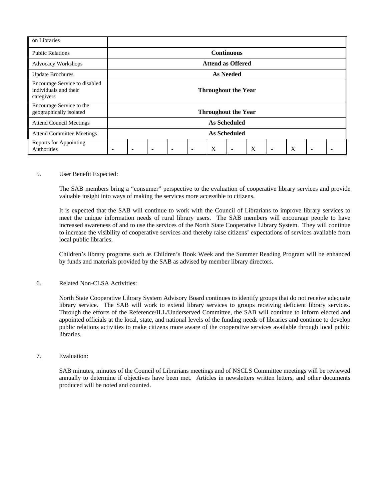| on Libraries                                                         |                            |  |  |                          |   |                            |   |  |   |  |  |
|----------------------------------------------------------------------|----------------------------|--|--|--------------------------|---|----------------------------|---|--|---|--|--|
| <b>Public Relations</b>                                              | <b>Continuous</b>          |  |  |                          |   |                            |   |  |   |  |  |
| <b>Advocacy Workshops</b>                                            | <b>Attend as Offered</b>   |  |  |                          |   |                            |   |  |   |  |  |
| <b>Update Brochures</b>                                              | <b>As Needed</b>           |  |  |                          |   |                            |   |  |   |  |  |
| Encourage Service to disabled<br>individuals and their<br>caregivers | <b>Throughout the Year</b> |  |  |                          |   |                            |   |  |   |  |  |
| Encourage Service to the<br>geographically isolated                  |                            |  |  |                          |   | <b>Throughout the Year</b> |   |  |   |  |  |
| <b>Attend Council Meetings</b>                                       |                            |  |  |                          |   | <b>As Scheduled</b>        |   |  |   |  |  |
| <b>Attend Committee Meetings</b>                                     |                            |  |  |                          |   | <b>As Scheduled</b>        |   |  |   |  |  |
| <b>Reports for Appointing</b><br>Authorities                         |                            |  |  | $\overline{\phantom{0}}$ | X |                            | X |  | X |  |  |

#### 5. User Benefit Expected:

The SAB members bring a "consumer" perspective to the evaluation of cooperative library services and provide valuable insight into ways of making the services more accessible to citizens.

It is expected that the SAB will continue to work with the Council of Librarians to improve library services to meet the unique information needs of rural library users. The SAB members will encourage people to have increased awareness of and to use the services of the North State Cooperative Library System. They will continue to increase the visibility of cooperative services and thereby raise citizens' expectations of services available from local public libraries.

Children's library programs such as Children's Book Week and the Summer Reading Program will be enhanced by funds and materials provided by the SAB as advised by member library directors.

#### 6. Related Non-CLSA Activities:

North State Cooperative Library System Advisory Board continues to identify groups that do not receive adequate library service. The SAB will work to extend library services to groups receiving deficient library services. Through the efforts of the Reference/ILL/Underserved Committee, the SAB will continue to inform elected and appointed officials at the local, state, and national levels of the funding needs of libraries and continue to develop public relations activities to make citizens more aware of the cooperative services available through local public libraries.

#### 7. Evaluation:

SAB minutes, minutes of the Council of Librarians meetings and of NSCLS Committee meetings will be reviewed annually to determine if objectives have been met. Articles in newsletters written letters, and other documents produced will be noted and counted.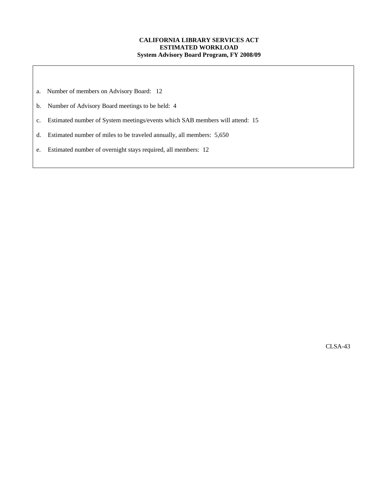### **CALIFORNIA LIBRARY SERVICES ACT ESTIMATED WORKLOAD System Advisory Board Program, FY 2008/09**

- a. Number of members on Advisory Board: 12
- b. Number of Advisory Board meetings to be held: 4
- c. Estimated number of System meetings/events which SAB members will attend: 15
- d. Estimated number of miles to be traveled annually, all members: 5,650
- e. Estimated number of overnight stays required, all members: 12

CLSA-43